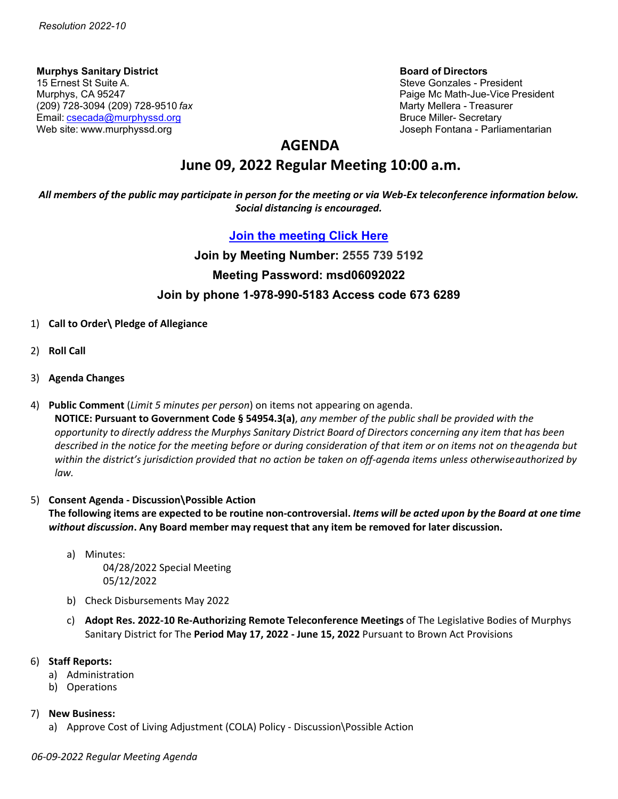**Murphys Sanitary District Board of Directors** 15 Ernest St Suite A. Steve Gonzales - President (209) 728-3094 (209) 728-9510 *fax* Marty Mellera - Treasurer Email: [csecada@murphyssd.org](mailto:csecada@murphyssd.org) Bruce Miller- Secretary Bruce Miller- Secretary Web site: [www.murphyssd.org](http://www.murphyssd.org/) Joseph Fontana - Parliamentarian

Paige Mc Math-Jue-Vice President

## **AGENDA**

## **June 09, 2022 Regular Meeting 10:00 a.m.**

*All members of the public may participate in person for the meeting or via Web-Ex teleconference information below. Social distancing is encouraged.*

### **[Join the meeting](https://murphyssanitarydistrict.my.webex.com/murphyssanitarydistrict.my/j.php?MTID=mdee759334796be41e741541ce9379d6a) Click Here**

# **Join by Meeting Number: 2555 739 5192 Meeting Password: msd06092022 Join by phone 1-978-990-5183 Access code 673 6289**

- 1) **Call to Order\ Pledge of Allegiance**
- 2) **Roll Call**
- 3) **Agenda Changes**
- 4) **Public Comment** (*Limit 5 minutes per person*) on items not appearing on agenda.

**NOTICE: Pursuant to Government Code § 54954.3(a)**, *any member of the public shall be provided with the* opportunity to directly address the Murphys Sanitary District Board of Directors concerning any item that has been *described in the notice for the meeting before or during consideration of that item or on items not on theagenda but within the district's jurisdiction provided that no action be taken on off-agenda items unless otherwiseauthorized by law.*

### 5) **Consent Agenda - Discussion\Possible Action**

The following items are expected to be routine non-controversial. Items will be acted upon by the Board at one time *without discussion***. Any Board member may request that any item be removed for later discussion.**

- a) Minutes: 04/28/2022 Special Meeting 05/12/2022
- b) Check Disbursements May 2022
- c) **Adopt Res. 2022-10 Re-Authorizing Remote Teleconference Meetings** of The Legislative Bodies of Murphys Sanitary District for The **Period May 17, 2022 - June 15, 2022** Pursuant to Brown Act Provisions

#### 6) **Staff Reports:**

- a) Administration
- b) Operations
- 7) **New Business:**
	- a) Approve Cost of Living Adjustment (COLA) Policy Discussion\Possible Action